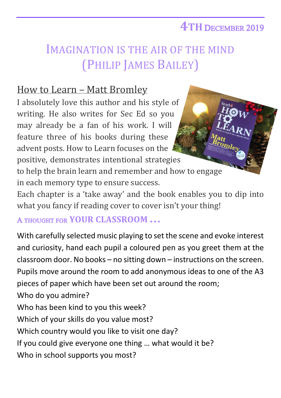## **4TH** DECEMBER 2019

## IMAGINATION IS THE AIR OF THE MIND (PHILIP JAMES BAILEY)

## How to Learn – Matt Bromley

I absolutely love this author and his style of writing. He also writes for Sec Ed so you may already be a fan of his work. I will feature three of his books during these advent posts. How to Learn focuses on the positive, demonstrates intentional strategies to help the brain learn and remember and how to engage in each memory type to ensure success.

Each chapter is a 'take away' and the book enables you to dip into what you fancy if reading cover to cover isn't your thing!

A THOUGHT FOR **YOUR CLASSROOM …**

With carefully selected music playing to set the scene and evoke interest and curiosity, hand each pupil a coloured pen as you greet them at the classroom door. No books – no sitting down – instructions on the screen. Pupils move around the room to add anonymous ideas to one of the A3 pieces of paper which have been set out around the room; Who do you admire? Who has been kind to you this week? Which of your skills do you value most? Which country would you like to visit one day? If you could give everyone one thing … what would it be? Who in school supports you most?